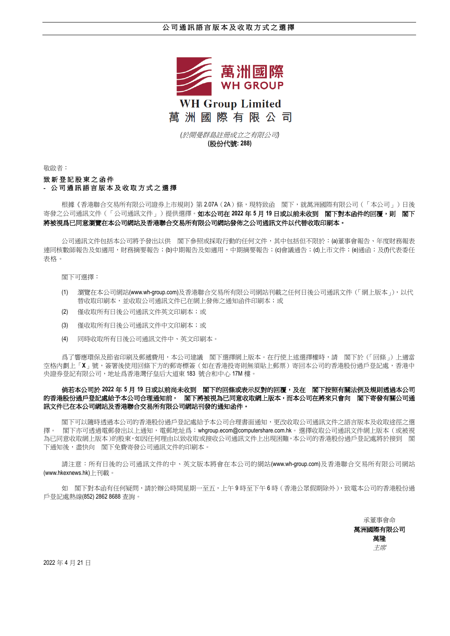

*(*於開曼群島註冊成立之有限公司*)* **(**股份代號**: 288)**

敬啟者:

## 致新登記股東之函件

## - 公 司 通 訊 語 言 版 本 及 收 取 方 式 之 選 擇

根據《香港聯合交易所有限公司證券上市規則》第2.07A (2A)條,現特致函 閣下,就萬洲國際有限公司(「本公司」)日後 寄發之公司通訊文件(「公司通訊文件」)提供選擇。如本公司在 **2022** 年 **5** 月 **19** 日或以前未收到 閣下對本函件的回覆,則 閣下 將被視爲已同意瀏覽在本公司網站及香港聯合交易所有限公司網站發佈之公司通訊文件以代替收取印刷本。

公司通訊文件包括本公司將予發出以供 閣下參照或採取行動的任何文件,其中包括但不限於:(a)董事會報告、年度財務報表 連同核數師報告及如適用,財務摘要報告;(b)中期報告及如適用,中期摘要報告;(c)會議通告;(d)上市文件;(e)通函;及(f)代表委任 表格。

閣下可選擇:

- (1) 瀏覽在本公司網站[\(www.wh-group.com\)](http://www.wh-group.com/c/index.php)及香港聯合交易所有限公司網站刊載之任何日後公司通訊文件(「網上版本」),以代 替收取印刷本,並收取公司通訊文件已在網上發佈之通知函件印刷本;或
- (2) 僅收取所有日後公司通訊文件英文印刷本;或
- (3) 僅收取所有日後公司通訊文件中文印刷本;或
- (4) 同時收取所有日後公司通訊文件中、英文印刷本。

爲了響應環保及節省印刷及郵遞費用,本公司建議 閣下選擇網上版本。在行使上述選擇權時,請 閣下於(「回條」)上適當 空格內劃上「X」號,簽署後使用回條下方的郵寄標簽(如在香港投寄則無須貼上郵票)寄回本公司的香港股份過戶登記處,香港中 央證券登記有限公司,地址爲香港灣仔皇后大道東 183 號合和中心 17M 樓。

## 倘若本公司於 **2022** 年 **5** 月 **19** 日或以前尚未收到 閣下的回條或表示反對的回覆,及在 閣下按照有關法例及規則透過本公司 的香港股份過戶登記處給予本公司合理通知前, 閣下將被視為已同意收取網上版本,而本公司在將來只會向 閣下寄發有關公司通 訊文件已在本公司網站及香港聯合交易所有限公司網站刊發的通知函件。

閣下可以隨時透過本公司的香港股份過戶登記處給予本公司合理書面通知,更改收取公司通訊文件之語言版本及收取途徑之選 擇。 閣下亦可透過電郵發出以上通知,電郵地址爲:[whgroup.ecom@computershare.com.hk](mailto:whgroup.ecom@computershare.com.hk)。選擇收取公司通訊文件網上版本(或被視 為已同意收取網上版本)的股東,如因任何理由以致收取或接收公司通訊文件上出現困難,本公司的香港股份過戶登記處將於接到 閣 下通知後,盡快向 閣下免費寄發公司通訊文件的印刷本。

請注意:所有日後的公司通訊文件的中、英文版本將會在本公司的網站[\(www.wh-group.com\)](http://www.wh-group.com/c/index.php)及香港聯合交易所有限公司網站 [\(www.hkexnews.hk\)](http://www.hkexnews.hk/)上刊載。

如 閣下對本函有任何疑問,請於辦公時間星期一至五,上午9時至下午6時 (香港公眾假期除外),致電本公司的香港股份過 戶登記處熱線(852) 2862 8688 查詢。

> 承董事會命 萬洲國際有限公司 萬隆 主席

2022 年 4 月 21 日